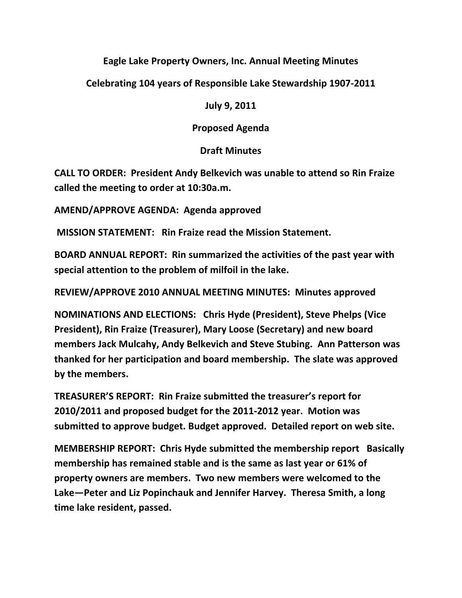## **Eagle Lake Property Owners, Inc. Annual Meeting Minutes**

**Celebrating 104 years of Responsible Lake Stewardship 1907-2011**

**July 9, 2011**

**Proposed Agenda**

## **Draft Minutes**

**CALL TO ORDER: President Andy Belkevich was unable to attend so Rin Fraize called the meeting to order at 10:30a.m.**

**AMEND/APPROVE AGENDA: Agenda approved**

**MISSION STATEMENT: Rin Fraize read the Mission Statement.**

**BOARD ANNUAL REPORT: Rin summarized the activities of the past year with special attention to the problem of milfoil in the lake.**

**REVIEW/APPROVE 2010 ANNUAL MEETING MINUTES: Minutes approved**

**NOMINATIONS AND ELECTIONS: Chris Hyde (President), Steve Phelps (Vice President), Rin Fraize (Treasurer), Mary Loose (Secretary) and new board members Jack Mulcahy, Andy Belkevich and Steve Stubing. Ann Patterson was thanked for her participation and board membership. The slate was approved by the members.**

**TREASURER'S REPORT: Rin Fraize submitted the treasurer's report for 2010/2011 and proposed budget for the 2011-2012 year. Motion was submitted to approve budget. Budget approved. Detailed report on web site.**

**MEMBERSHIP REPORT: Chris Hyde submitted the membership report Basically membership has remained stable and is the same as last year or 61% of property owners are members. Two new members were welcomed to the Lake—Peter and Liz Popinchauk and Jennifer Harvey. Theresa Smith, a long time lake resident, passed.**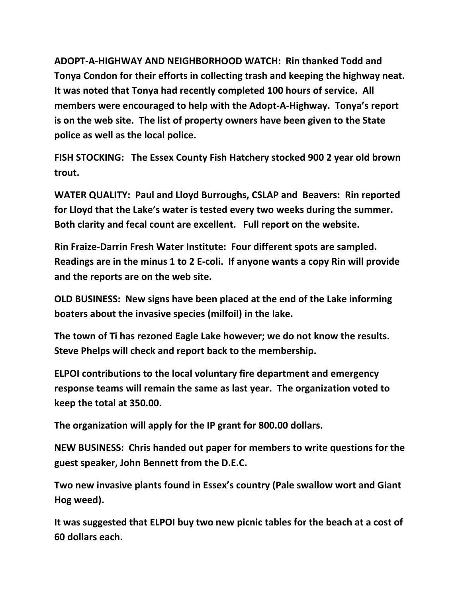**ADOPT-A-HIGHWAY AND NEIGHBORHOOD WATCH: Rin thanked Todd and Tonya Condon for their efforts in collecting trash and keeping the highway neat. It was noted that Tonya had recently completed 100 hours of service. All members were encouraged to help with the Adopt-A-Highway. Tonya's report is on the web site. The list of property owners have been given to the State police as well as the local police.** 

**FISH STOCKING: The Essex County Fish Hatchery stocked 900 2 year old brown trout.**

**WATER QUALITY: Paul and Lloyd Burroughs, CSLAP and Beavers: Rin reported for Lloyd that the Lake's water is tested every two weeks during the summer. Both clarity and fecal count are excellent. Full report on the website.**

**Rin Fraize-Darrin Fresh Water Institute: Four different spots are sampled. Readings are in the minus 1 to 2 E-coli. If anyone wants a copy Rin will provide and the reports are on the web site.**

**OLD BUSINESS: New signs have been placed at the end of the Lake informing boaters about the invasive species (milfoil) in the lake.** 

**The town of Ti has rezoned Eagle Lake however; we do not know the results. Steve Phelps will check and report back to the membership.**

**ELPOI contributions to the local voluntary fire department and emergency response teams will remain the same as last year. The organization voted to keep the total at 350.00.**

**The organization will apply for the IP grant for 800.00 dollars.**

**NEW BUSINESS: Chris handed out paper for members to write questions for the guest speaker, John Bennett from the D.E.C.**

**Two new invasive plants found in Essex's country (Pale swallow wort and Giant Hog weed).**

**It was suggested that ELPOI buy two new picnic tables for the beach at a cost of 60 dollars each.**